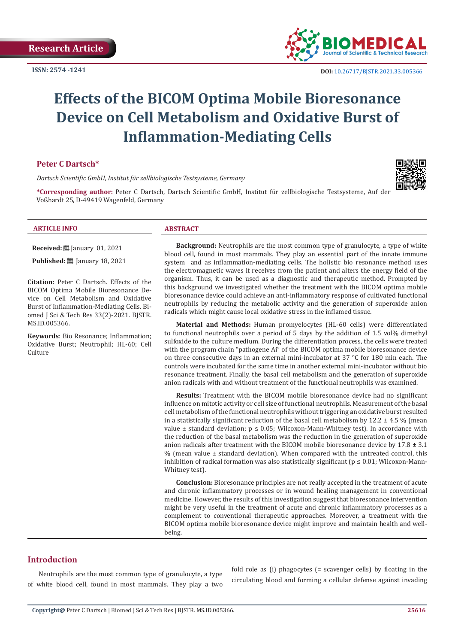

# **Effects of the BICOM Optima Mobile Bioresonance Device on Cell Metabolism and Oxidative Burst of Inflammation-Mediating Cells**

## **Peter C Dartsch\***

*Dartsch Scientific GmbH, Institut für zellbiologische Testsysteme, Germany*



**\*Corresponding author:** Peter C Dartsch, Dartsch Scientific GmbH, Institut für zellbiologische Testsysteme, Auf der Voßhardt 25, D-49419 Wagenfeld, Germany

#### **ARTICLE INFO ABSTRACT**

**Received:** <u>□</u> January 01, 2021

Published: [201] January 18, 2021

**Citation:** Peter C Dartsch. Effects of the BICOM Optima Mobile Bioresonance Device on Cell Metabolism and Oxidative Burst of Inflammation-Mediating Cells. Biomed J Sci & Tech Res 33(2)-2021. BJSTR. MS.ID.005366.

**Keywords**: Bio Resonance; Inflammation; Oxidative Burst; Neutrophil; HL-60; Cell Culture

**Background:** Neutrophils are the most common type of granulocyte, a type of white blood cell, found in most mammals. They play an essential part of the innate immune system and as inflammation-mediating cells. The holistic bio resonance method uses the electromagnetic waves it receives from the patient and alters the energy field of the organism. Thus, it can be used as a diagnostic and therapeutic method. Prompted by this background we investigated whether the treatment with the BICOM optima mobile bioresonance device could achieve an anti-inflammatory response of cultivated functional neutrophils by reducing the metabolic activity and the generation of superoxide anion radicals which might cause local oxidative stress in the inflamed tissue.

**Material and Methods:** Human promyelocytes (HL-60 cells) were differentiated to functional neutrophils over a period of 5 days by the addition of 1.5 vol% dimethyl sulfoxide to the culture medium. During the differentiation process, the cells were treated with the program chain "pathogene Ai" of the BICOM optima mobile bioresonance device on three consecutive days in an external mini-incubator at 37 °C for 180 min each. The controls were incubated for the same time in another external mini-incubator without bio resonance treatment. Finally, the basal cell metabolism and the generation of superoxide anion radicals with and without treatment of the functional neutrophils was examined.

**Results:** Treatment with the BICOM mobile bioresonance device had no significant influence on mitotic activity or cell size of functional neutrophils. Measurement of the basal cell metabolism of the functional neutrophils without triggering an oxidative burst resulted in a statistically significant reduction of the basal cell metabolism by  $12.2 \pm 4.5$  % (mean value  $\pm$  standard deviation;  $p \le 0.05$ ; Wilcoxon-Mann-Whitney test). In accordance with the reduction of the basal metabolism was the reduction in the generation of superoxide anion radicals after treatment with the BICOM mobile bioresonance device by  $17.8 \pm 3.1$  $%$  (mean value  $\pm$  standard deviation). When compared with the untreated control, this inhibition of radical formation was also statistically significant ( $p \le 0.01$ ; Wilcoxon-Mann-Whitney test).

**Conclusion:** Bioresonance principles are not really accepted in the treatment of acute and chronic inflammatory processes or in wound healing management in conventional medicine. However, the results of this investigation suggest that bioresonance intervention might be very useful in the treatment of acute and chronic inflammatory processes as a complement to conventional therapeutic approaches. Moreover, a treatment with the BICOM optima mobile bioresonance device might improve and maintain health and wellbeing.

### **Introduction**

Neutrophils are the most common type of granulocyte, a type of white blood cell, found in most mammals. They play a two

fold role as (i) phagocytes (= scavenger cells) by floating in the circulating blood and forming a cellular defense against invading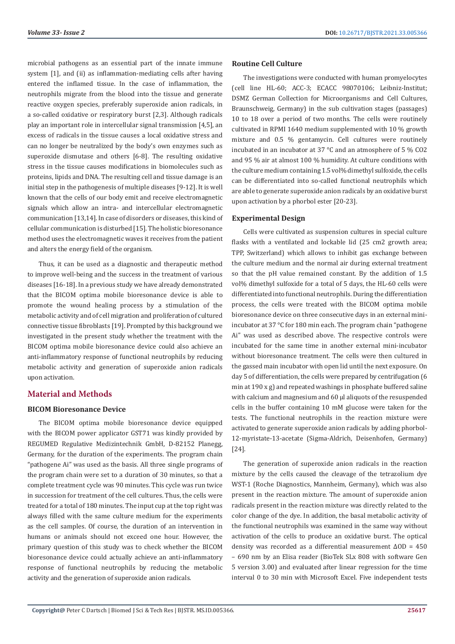microbial pathogens as an essential part of the innate immune system [1], and (ii) as inflammation-mediating cells after having entered the inflamed tissue. In the case of inflammation, the neutrophils migrate from the blood into the tissue and generate reactive oxygen species, preferably superoxide anion radicals, in a so-called oxidative or respiratory burst [2,3]. Although radicals play an important role in intercellular signal transmission [4,5], an excess of radicals in the tissue causes a local oxidative stress and can no longer be neutralized by the body's own enzymes such as superoxide dismutase and others [6-8]. The resulting oxidative stress in the tissue causes modifications in biomolecules such as proteins, lipids and DNA. The resulting cell and tissue damage is an initial step in the pathogenesis of multiple diseases [9-12]. It is well known that the cells of our body emit and receive electromagnetic signals which allow an intra- and intercellular electromagnetic communication [13,14]. In case of disorders or diseases, this kind of cellular communication is disturbed [15]. The holistic bioresonance method uses the electromagnetic waves it receives from the patient and alters the energy field of the organism.

Thus, it can be used as a diagnostic and therapeutic method to improve well-being and the success in the treatment of various diseases [16-18]. In a previous study we have already demonstrated that the BICOM optima mobile bioresonance device is able to promote the wound healing process by a stimulation of the metabolic activity and of cell migration and proliferation of cultured connective tissue fibroblasts [19]. Prompted by this background we investigated in the present study whether the treatment with the BICOM optima mobile bioresonance device could also achieve an anti-inflammatory response of functional neutrophils by reducing metabolic activity and generation of superoxide anion radicals upon activation.

# **Material and Methods**

#### **BICOM Bioresonance Device**

The BICOM optima mobile bioresonance device equipped with the BICOM power applicator GST71 was kindly provided by REGUMED Regulative Medizintechnik GmbH, D-82152 Planegg, Germany, for the duration of the experiments. The program chain "pathogene Ai" was used as the basis. All three single programs of the program chain were set to a duration of 30 minutes, so that a complete treatment cycle was 90 minutes. This cycle was run twice in succession for treatment of the cell cultures. Thus, the cells were treated for a total of 180 minutes. The input cup at the top right was always filled with the same culture medium for the experiments as the cell samples. Of course, the duration of an intervention in humans or animals should not exceed one hour. However, the primary question of this study was to check whether the BICOM bioresonance device could actually achieve an anti-inflammatory response of functional neutrophils by reducing the metabolic activity and the generation of superoxide anion radicals.

#### **Routine Cell Culture**

The investigations were conducted with human promyelocytes (cell line HL-60; ACC-3; ECACC 98070106; Leibniz-Institut; DSMZ German Collection for Microorganisms and Cell Cultures, Braunschweig, Germany) in the sub cultivation stages (passages) 10 to 18 over a period of two months. The cells were routinely cultivated in RPMI 1640 medium supplemented with 10 % growth mixture and 0.5 % gentamycin. Cell cultures were routinely incubated in an incubator at 37 °C and an atmosphere of 5 % CO2 and 95 % air at almost 100 % humidity. At culture conditions with the culture medium containing 1.5 vol% dimethyl sulfoxide, the cells can be differentiated into so-called functional neutrophils which are able to generate superoxide anion radicals by an oxidative burst upon activation by a phorbol ester [20-23].

#### **Experimental Design**

Cells were cultivated as suspension cultures in special culture flasks with a ventilated and lockable lid (25 cm2 growth area; TPP, Switzerland) which allows to inhibit gas exchange between the culture medium and the normal air during external treatment so that the pH value remained constant. By the addition of 1.5 vol% dimethyl sulfoxide for a total of 5 days, the HL-60 cells were differentiated into functional neutrophils. During the differentiation process, the cells were treated with the BICOM optima mobile bioresonance device on three consecutive days in an external miniincubator at 37 °C for 180 min each. The program chain "pathogene Ai" was used as described above. The respective controls were incubated for the same time in another external mini-incubator without bioresonance treatment. The cells were then cultured in the gassed main incubator with open lid until the next exposure. On day 5 of differentiation, the cells were prepared by centrifugation (6 min at 190 x g) and repeated washings in phosphate buffered saline with calcium and magnesium and 60 µl aliquots of the resuspended cells in the buffer containing 10 mM glucose were taken for the tests. The functional neutrophils in the reaction mixture were activated to generate superoxide anion radicals by adding phorbol-12-myristate-13-acetate (Sigma-Aldrich, Deisenhofen, Germany) [24].

The generation of superoxide anion radicals in the reaction mixture by the cells caused the cleavage of the tetrazolium dye WST-1 (Roche Diagnostics, Mannheim, Germany), which was also present in the reaction mixture. The amount of superoxide anion radicals present in the reaction mixture was directly related to the color change of the dye. In addition, the basal metabolic activity of the functional neutrophils was examined in the same way without activation of the cells to produce an oxidative burst. The optical density was recorded as a differential measurement ∆OD = 450 – 690 nm by an Elisa reader (BioTek SLx 808 with software Gen 5 version 3.00) and evaluated after linear regression for the time interval 0 to 30 min with Microsoft Excel. Five independent tests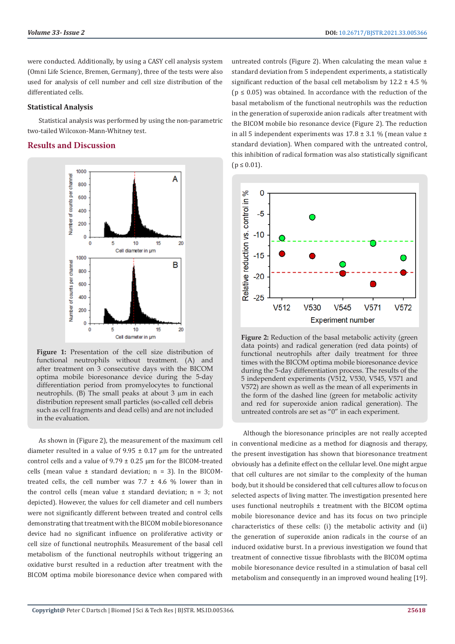were conducted. Additionally, by using a CASY cell analysis system (Omni Life Science, Bremen, Germany), three of the tests were also used for analysis of cell number and cell size distribution of the differentiated cells.

#### **Statistical Analysis**

Statistical analysis was performed by using the non-parametric two-tailed Wilcoxon-Mann-Whitney test.

# **Results and Discussion**



**Figure 1:** Presentation of the cell size distribution of functional neutrophils without treatment. (A) and after treatment on 3 consecutive days with the BICOM optima mobile bioresonance device during the 5-day differentiation period from promyelocytes to functional neutrophils. (B) The small peaks at about 3  $\mu$ m in each distribution represent small particles (so-called cell debris such as cell fragments and dead cells) and are not included in the evaluation.

As shown in (Figure 2), the measurement of the maximum cell diameter resulted in a value of  $9.95 \pm 0.17$  um for the untreated control cells and a value of  $9.79 \pm 0.25$  µm for the BICOM-treated cells (mean value  $\pm$  standard deviation; n = 3). In the BICOMtreated cells, the cell number was  $7.7 \pm 4.6$  % lower than in the control cells (mean value  $\pm$  standard deviation; n = 3; not depicted). However, the values for cell diameter and cell numbers were not significantly different between treated and control cells demonstrating that treatment with the BICOM mobile bioresonance device had no significant influence on proliferative activity or cell size of functional neutrophils. Measurement of the basal cell metabolism of the functional neutrophils without triggering an oxidative burst resulted in a reduction after treatment with the BICOM optima mobile bioresonance device when compared with

untreated controls (Figure 2). When calculating the mean value  $\pm$ standard deviation from 5 independent experiments, a statistically significant reduction of the basal cell metabolism by  $12.2 \pm 4.5$  %  $(p \le 0.05)$  was obtained. In accordance with the reduction of the basal metabolism of the functional neutrophils was the reduction in the generation of superoxide anion radicals after treatment with the BICOM mobile bio resonance device (Figure 2). The reduction in all 5 independent experiments was  $17.8 \pm 3.1$  % (mean value  $\pm$ standard deviation). When compared with the untreated control, this inhibition of radical formation was also statistically significant  $(p \le 0.01)$ .



**Figure 2:** Reduction of the basal metabolic activity (green data points) and radical generation (red data points) of functional neutrophils after daily treatment for three times with the BICOM optima mobile bioresonance device during the 5-day differentiation process. The results of the 5 independent experiments (V512, V530, V545, V571 and V572) are shown as well as the mean of all experiments in the form of the dashed line (green for metabolic activity and red for superoxide anion radical generation). The untreated controls are set as "0" in each experiment.

Although the bioresonance principles are not really accepted in conventional medicine as a method for diagnosis and therapy, the present investigation has shown that bioresonance treatment obviously has a definite effect on the cellular level. One might argue that cell cultures are not similar to the complexity of the human body, but it should be considered that cell cultures allow to focus on selected aspects of living matter. The investigation presented here uses functional neutrophils  $\pm$  treatment with the BICOM optima mobile bioresonance device and has its focus on two principle characteristics of these cells: (i) the metabolic activity and (ii) the generation of superoxide anion radicals in the course of an induced oxidative burst. In a previous investigation we found that treatment of connective tissue fibroblasts with the BICOM optima mobile bioresonance device resulted in a stimulation of basal cell metabolism and consequently in an improved wound healing [19].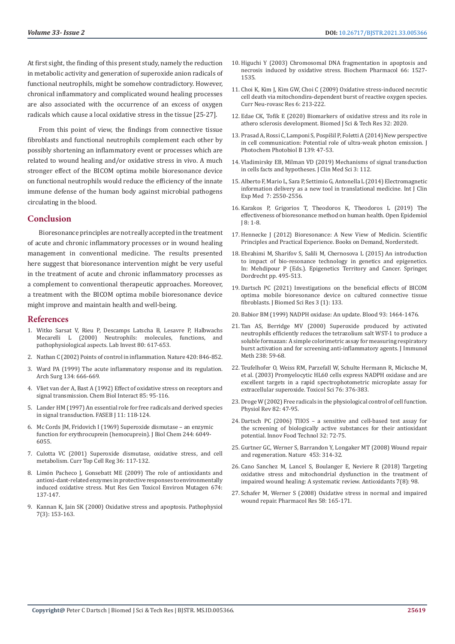At first sight, the finding of this present study, namely the reduction in metabolic activity and generation of superoxide anion radicals of functional neutrophils, might be somehow contradictory. However, chronical inflammatory and complicated wound healing processes are also associated with the occurrence of an excess of oxygen radicals which cause a local oxidative stress in the tissue [25-27].

From this point of view, the findings from connective tissue fibroblasts and functional neutrophils complement each other by possibly shortening an inflammatory event or processes which are related to wound healing and/or oxidative stress in vivo. A much stronger effect of the BICOM optima mobile bioresonance device on functional neutrophils would reduce the efficiency of the innate immune defense of the human body against microbial pathogens circulating in the blood.

#### **Conclusion**

Bioresonance principles are not really accepted in the treatment of acute and chronic inflammatory processes or in wound healing management in conventional medicine. The results presented here suggest that bioresonance intervention might be very useful in the treatment of acute and chronic inflammatory processes as a complement to conventional therapeutic approaches. Moreover, a treatment with the BICOM optima mobile bioresonance device might improve and maintain health and well-being.

#### **References**

- 1. [Witko Sarsat V, Rieu P, Descamps Latscha B, Lesavre P, Halbwachs](https://www.nature.com/articles/3780067/)  [Mecarelli L \(2000\) Neutrophils: molecules, functions, and](https://www.nature.com/articles/3780067/)  [pathophysiological aspects. Lab Invest 80: 617-653.](https://www.nature.com/articles/3780067/)
- 2. [Nathan C \(2002\) Points of control in inflammation. Nature 420: 846-852.](https://pubmed.ncbi.nlm.nih.gov/12490957/)
- 3. Ward PA (1999) The acute inflammatory response and its regulation. Arch Surg 134: 666-669.
- 4. [Vliet van der A, Bast A \(1992\) Effect of oxidative stress on receptors and](https://pubmed.ncbi.nlm.nih.gov/1493612/)  [signal transmission. Chem Biol Interact 85: 95-116.](https://pubmed.ncbi.nlm.nih.gov/1493612/)
- 5. [Lander HM \(1997\) An essential role for free radicals and derived species](https://pubmed.ncbi.nlm.nih.gov/9039953/)  [in signal transduction. FASEB J 11: 118-124.](https://pubmed.ncbi.nlm.nih.gov/9039953/)
- 6. [Mc Cords JM, Fridovich I \(1969\) Superoxide dismutase an enzymic](https://pubmed.ncbi.nlm.nih.gov/5389100/)  [function for erythrocuprein \(hemocuprein\). J Biol Chem 244: 6049-](https://pubmed.ncbi.nlm.nih.gov/5389100/) [6055.](https://pubmed.ncbi.nlm.nih.gov/5389100/)
- 7. [Culotta VC \(2001\) Superoxide dismutase, oxidative stress, and cell](https://pubmed.ncbi.nlm.nih.gov/10842749/)  [metabolism. Curr Top Cell Reg 36: 117-132.](https://pubmed.ncbi.nlm.nih.gov/10842749/)
- 8. [Limón Pacheco J, Gonsebatt ME \(2009\) The role of antioxidants and](https://pubmed.ncbi.nlm.nih.gov/18955158/)  [antioxi-dant-related enzymes in protective responses to environmentally](https://pubmed.ncbi.nlm.nih.gov/18955158/)  [induced oxidative stress. Mut Res Gen Toxicol Environ Mutagen 674:](https://pubmed.ncbi.nlm.nih.gov/18955158/)  [137-147.](https://pubmed.ncbi.nlm.nih.gov/18955158/)
- 9. [Kannan K, Jain SK \(2000\) Oxidative stress and apoptosis. Pathophysiol](https://pubmed.ncbi.nlm.nih.gov/10996508/)  [7\(3\): 153-163.](https://pubmed.ncbi.nlm.nih.gov/10996508/)
- 10. Higuchi Y (2003) Chromosomal DNA fragmentation in apoptosis and necrosis induced by oxidative stress. Biochem Pharmacol 66: 1527- 1535.
- 11. [Choi K, Kim J, Kim GW, Choi C \(2009\) Oxidative stress-induced necrotic](https://pubmed.ncbi.nlm.nih.gov/19807658/) [cell death via mitochondira-dependent burst of reactive oxygen species.](https://pubmed.ncbi.nlm.nih.gov/19807658/) [Curr Neu-rovasc Res 6: 213-222.](https://pubmed.ncbi.nlm.nih.gov/19807658/)
- 12. Edae CK, Tofik E (2020) Biomarkers of oxidative stress and its role in athero sclerosis development. Biomed J Sci & Tech Res 32: 2020.
- 13. [Prasad A, Rossi C, Lamponi S, Pospíšil P, Foletti A \(2014\) New perspective](https://pubmed.ncbi.nlm.nih.gov/24703082/) [in cell communication: Potential role of ultra-weak photon emission. J](https://pubmed.ncbi.nlm.nih.gov/24703082/) [Photochem Photobiol B 139: 47-53.](https://pubmed.ncbi.nlm.nih.gov/24703082/)
- 14. [Vladimirsky EB, Milman VD \(2019\) Mechanisms of signal transduction](https://www.longdom.org/open-access/mechanisms-of-signal-transduction-in-cells-facts-and-hypotheses.pdf) [in cells facts and hypotheses. J Clin Med Sci 3: 112.](https://www.longdom.org/open-access/mechanisms-of-signal-transduction-in-cells-facts-and-hypotheses.pdf)
- 15. [Alberto F, Mario L, Sara P, Settimio G, Antonella L \(2014\) Electromagnetic](https://pubmed.ncbi.nlm.nih.gov/25356108/) [information delivery as a new tool in translational medicine. Int J Clin](https://pubmed.ncbi.nlm.nih.gov/25356108/) [Exp Med 7: 2550-2556.](https://pubmed.ncbi.nlm.nih.gov/25356108/)
- 16. Karakos P, Grigorios T, Theodoros K, Theodoros L (2019) The effectiveness of bioresonance method on human health. Open Epidemiol J 8: 1-8.
- 17. [Hennecke J \(2012\) Bioresonance: A New View of Medicin. Scientific](https://books.google.co.in/books/about/Bioresonance_a_New_View_of_Medicine.html?id=cj2vrWleUBAC&redir_esc=y) [Principles and Practical Experience. Books on Demand, Norderstedt.](https://books.google.co.in/books/about/Bioresonance_a_New_View_of_Medicine.html?id=cj2vrWleUBAC&redir_esc=y)
- 18. Ebrahimi M, Sharifov S, Salili M, Chernosova L (2015) An introduction to impact of bio-resonance technology in genetics and epigenetics. In: Mehdipour P (Eds.). Epigenetics Territory and Cancer. Springer, Dordrecht pp. 495-513.
- 19. Dartsch PC (2021) Investigations on the beneficial effects of BICOM optima mobile bioresonance device on cultured connective tissue fibroblasts. J Biomed Sci Res 3 (1): 133.
- 20. [Babior BM \(1999\) NADPH oxidase: An update. Blood 93: 1464-1476.](https://pubmed.ncbi.nlm.nih.gov/10029572/)
- 21. [Tan AS, Berridge MV \(2000\) Superoxide produced by activated](https://pubmed.ncbi.nlm.nih.gov/10758236/) [neutrophils efficiently reduces the tetrazolium salt WST-1 to produce a](https://pubmed.ncbi.nlm.nih.gov/10758236/) [soluble formazan: A simple colorimetric assay for measuring respiratory](https://pubmed.ncbi.nlm.nih.gov/10758236/) [burst activation and for screening anti-inflammatory agents. J Immunol](https://pubmed.ncbi.nlm.nih.gov/10758236/) [Meth 238: 59-68.](https://pubmed.ncbi.nlm.nih.gov/10758236/)
- 22. [Teufelhofer O, Weiss RM, Parzefall W, Schulte Hermann R, Micksche M,](https://pubmed.ncbi.nlm.nih.gov/14514966/) [et al. \(2003\) Promyelocytic HL60 cells express NADPH oxidase and are](https://pubmed.ncbi.nlm.nih.gov/14514966/) [excellent targets in a rapid spectrophotometric microplate assay for](https://pubmed.ncbi.nlm.nih.gov/14514966/) [extracellular superoxide. Toxicol Sci 76: 376-383.](https://pubmed.ncbi.nlm.nih.gov/14514966/)
- 23. [Droge W \(2002\) Free radicals in the physiological control of cell function.](https://pubmed.ncbi.nlm.nih.gov/11773609/) [Physiol Rev 82: 47-95.](https://pubmed.ncbi.nlm.nih.gov/11773609/)
- 24. Dartsch PC (2006) TIIOS a sensitive and cell-based test assay for the screening of biologically active substances for their antioxidant potential. Innov Food Technol 32: 72-75.
- 25. Gurtner GC, Werner S, Barrandon Y, Longaker MT (2008) Wound repair and regeneration. Nature 453: 314-32.
- 26. [Cano Sanchez M, Lancel S, Boulanger E, Neviere R \(2018\) Targeting](https://pubmed.ncbi.nlm.nih.gov/30042332/) [oxidative stress and mitochondrial dysfunction in the treatment of](https://pubmed.ncbi.nlm.nih.gov/30042332/) [impaired wound healing: A systematic review. Antioxidants 7\(8\): 98.](https://pubmed.ncbi.nlm.nih.gov/30042332/)
- 27. [Schafer M, Werner S \(2008\) Oxidative stress in normal and impaired](https://pubmed.ncbi.nlm.nih.gov/18617006/) [wound repair. Pharmacol Res 58: 165-171.](https://pubmed.ncbi.nlm.nih.gov/18617006/)